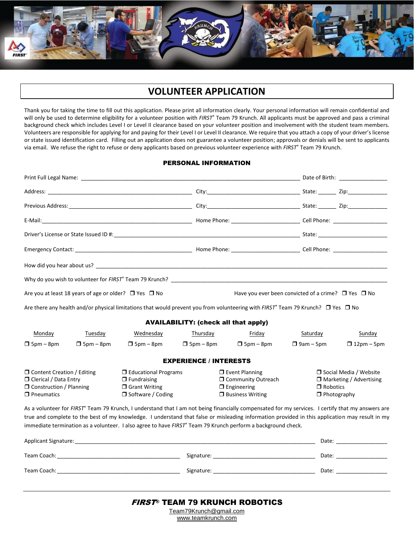

### **VOLUNTEER APPLICATION**

Thank you for taking the time to fill out this application. Please print all information clearly. Your personal information will remain confidential and will only be used to determine eligibility for a volunteer position with *FIRST®* Team 79 Krunch. All applicants must be approved and pass a criminal background check which includes Level I or Level II clearance based on your volunteer position and involvement with the student team members. Volunteers are responsible for applying for and paying for their Level I or Level II clearance. We require that you attach a copy of your driver's license or state issued identification card. Filling out an application does not guarantee a volunteer position; approvals or denials will be sent to applicants via email. We refuse the right to refuse or deny applicants based on previous volunteer experience with *FIRST*® Team 79 Krunch.

#### PERSONAL INFORMATION

|                                                                                                                | Are you at least 18 years of age or older? $\Box$ Yes $\Box$ No |                                                                                                                                                                                                                                                                                                                                                                                                                                 |                               |                                                                                                | Have you ever been convicted of a crime? $\Box$ Yes $\Box$ No |                                                                                                     |  |  |
|----------------------------------------------------------------------------------------------------------------|-----------------------------------------------------------------|---------------------------------------------------------------------------------------------------------------------------------------------------------------------------------------------------------------------------------------------------------------------------------------------------------------------------------------------------------------------------------------------------------------------------------|-------------------------------|------------------------------------------------------------------------------------------------|---------------------------------------------------------------|-----------------------------------------------------------------------------------------------------|--|--|
|                                                                                                                |                                                                 | Are there any health and/or physical limitations that would prevent you from volunteering with FIRST® Team 79 Krunch? $\Box$ Yes $\Box$ No                                                                                                                                                                                                                                                                                      |                               |                                                                                                |                                                               |                                                                                                     |  |  |
|                                                                                                                | <b>AVAILABILITY: (check all that apply)</b>                     |                                                                                                                                                                                                                                                                                                                                                                                                                                 |                               |                                                                                                |                                                               |                                                                                                     |  |  |
| Monday                                                                                                         | Tuesday                                                         | Wednesday                                                                                                                                                                                                                                                                                                                                                                                                                       | Thursday                      | Friday                                                                                         | Saturday                                                      | Sunday                                                                                              |  |  |
| $\Box$ 5pm – 8pm                                                                                               | $\Box$ 5pm – 8pm                                                | $\Box$ 5pm – 8pm                                                                                                                                                                                                                                                                                                                                                                                                                | $\Box$ 5pm – 8pm              | $\Box$ 5pm – 8pm                                                                               | $\Box$ 9am – 5pm                                              | $\Box$ 12pm – 5pm                                                                                   |  |  |
|                                                                                                                |                                                                 |                                                                                                                                                                                                                                                                                                                                                                                                                                 | <b>EXPERIENCE / INTERESTS</b> |                                                                                                |                                                               |                                                                                                     |  |  |
| □ Content Creation / Editing<br>□ Clerical / Data Entry<br>$\Box$ Construction / Planning<br>$\Box$ Pneumatics |                                                                 | $\Box$ Educational Programs<br>$\Box$ Fundraising<br>$\Box$ Grant Writing<br>□ Software / Coding                                                                                                                                                                                                                                                                                                                                |                               | $\Box$ Event Planning<br>O Community Outreach<br>$\Box$ Engineering<br>$\Box$ Business Writing |                                                               | □ Social Media / Website<br>$\Box$ Marketing / Advertising<br>$\Box$ Robotics<br>$\Box$ Photography |  |  |
|                                                                                                                |                                                                 | As a volunteer for FIRST <sup>®</sup> Team 79 Krunch, I understand that I am not being financially compensated for my services. I certify that my answers are<br>true and complete to the best of my knowledge. I understand that false or misleading information provided in this application may result in my<br>immediate termination as a volunteer. I also agree to have FIRST® Team 79 Krunch perform a background check. |                               |                                                                                                |                                                               |                                                                                                     |  |  |
|                                                                                                                |                                                                 |                                                                                                                                                                                                                                                                                                                                                                                                                                 |                               |                                                                                                |                                                               | Date: ___________________                                                                           |  |  |
|                                                                                                                |                                                                 |                                                                                                                                                                                                                                                                                                                                                                                                                                 |                               |                                                                                                |                                                               |                                                                                                     |  |  |
|                                                                                                                |                                                                 |                                                                                                                                                                                                                                                                                                                                                                                                                                 |                               |                                                                                                |                                                               |                                                                                                     |  |  |

www.teamkrunch.com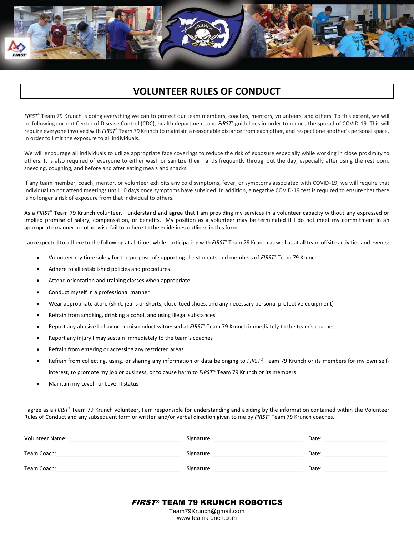# **VOLUNTEER RULES OF CONDUCT**

*FIRST*® Team 79 Krunch is doing everything we can to protect our team members, coaches, mentors, volunteers, and others. To this extent, we will be following current Center of Disease Control (CDC), health department, and *FIRST*® guidelines in order to reduce the spread of COVID-19. This will require everyone involved with FIRST® Team 79 Krunch to maintain a reasonable distance from each other, and respect one another's personal space, in order to limit the exposure to all individuals.

We will encourage all individuals to utilize appropriate face coverings to reduce the risk of exposure especially while working in close proximity to others. It is also required of everyone to either wash or sanitize their hands frequently throughout the day, especially after using the restroom, sneezing, coughing, and before and after eating meals and snacks.

If any team member, coach, mentor, or volunteer exhibits any cold symptoms, fever, or symptoms associated with COVID-19, we will require that individual to not attend meetings until 10 days once symptoms have subsided. In addition, a negative COVID-19 test is required to ensure that there is no longer a risk of exposure from that individual to others.

As a FIRST<sup>®</sup> Team 79 Krunch volunteer, I understand and agree that I am providing my services in a volunteer capacity without any expressed or implied promise of salary, compensation, or benefits. My position as a volunteer may be terminated if I do not meet my commitment in an appropriate manner, or otherwise fail to adhere to the guidelines outlined in this form.

I am expected to adhere to the following at all times while participating with *FIRST*® Team 79 Krunch as well as at all team offsite activities and events:

- Volunteer my time solely for the purpose of supporting the students and members of *FIRST*® Team 79 Krunch
- Adhere to all established policies and procedures
- Attend orientation and training classes when appropriate
- Conduct myself in a professional manner
- Wear appropriate attire (shirt, jeans or shorts, close-toed shoes, and any necessary personal protective equipment)
- Refrain from smoking, drinking alcohol, and using illegal substances
- Report any abusive behavior or misconduct witnessed at *FIRST*® Team 79 Krunch immediately to the team's coaches
- Report any injury I may sustain immediately to the team's coaches
- Refrain from entering or accessing any restricted areas
- Refrain from collecting, using, or sharing any information or data belonging to *FIRST*® Team 79 Krunch or its members for my own selfinterest, to promote my job or business, or to cause harm to *FIRST*® Team 79 Krunch or its members
- Maintain my Level I or Level II status

I agree as a *FIRST*® Team 79 Krunch volunteer, I am responsible for understanding and abiding by the information contained within the Volunteer Rules of Conduct and any subsequent form or written and/or verbal direction given to me by *FIRST*® Team 79 Krunch coaches.

| Volunteer Name: | Signature: | Date: |
|-----------------|------------|-------|
| Team Coach:     | Signature: | Date: |
| Team Coach:     | Signature: | Date: |

www.teamkrunch.com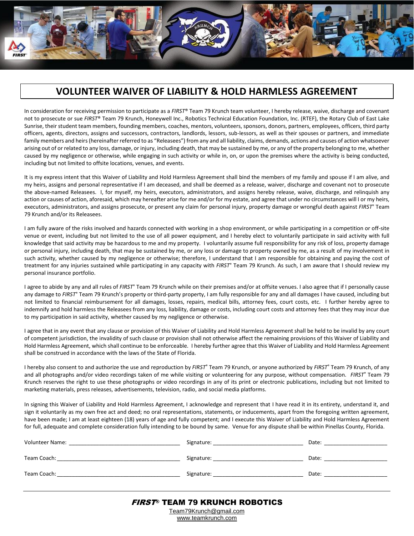

### **VOLUNTEER WAIVER OF LIABILITY & HOLD HARMLESS AGREEMENT**

In consideration for receiving permission to participate as a *FIRST*® Team 79 Krunch team volunteer, I hereby release, waive, discharge and covenant not to prosecute or sue *FIRST*® Team 79 Krunch, Honeywell Inc., Robotics Technical Education Foundation, Inc. (RTEF), the Rotary Club of East Lake Sunrise, their student team members, founding members, coaches, mentors, volunteers, sponsors, donors, partners, employees, officers, third party officers, agents, directors, assigns and successors, contractors, landlords, lessors, sub-lessors, as well as their spouses or partners, and immediate family members and heirs (hereinafter referred to as "Releasees") from any and all liability, claims, demands, actions and causes of action whatsoever arising out of or related to any loss, damage, or injury, including death, that may be sustained by me, or any of the property belonging to me, whether caused by my negligence or otherwise, while engaging in such activity or while in, on, or upon the premises where the activity is being conducted, including but not limited to offsite locations, venues, and events.

It is my express intent that this Waiver of Liability and Hold Harmless Agreement shall bind the members of my family and spouse if I am alive, and my heirs, assigns and personal representative if I am deceased, and shall be deemed as a release, waiver, discharge and covenant not to prosecute the above-named Releasees. I, for myself, my heirs, executors, administrators, and assigns hereby release, waive, discharge, and relinquish any action or causes of action, aforesaid, which may hereafter arise for me and/or for my estate, and agree that under no circumstances will I or my heirs, executors, administrators, and assigns prosecute, or present any claim for personal injury, property damage or wrongful death against *FIRST*® Team 79 Krunch and/or its Releasees.

I am fully aware of the risks involved and hazards connected with working in a shop environment, or while participating in a competition or off-site venue or event, including but not limited to the use of all power equipment, and I hereby elect to voluntarily participate in said activity with full knowledge that said activity may be hazardous to me and my property. I voluntarily assume full responsibility for any risk of loss, property damage or personal injury, including death, that may be sustained by me, or any loss or damage to property owned by me, as a result of my involvement in such activity, whether caused by my negligence or otherwise; therefore, I understand that I am responsible for obtaining and paying the cost of treatment for any injuries sustained while participating in any capacity with *FIRST*® Team 79 Krunch. As such, I am aware that I should review my personal insurance portfolio.

I agree to abide by any and all rules of *FIRST*® Team 79 Krunch while on their premises and/or at offsite venues. I also agree that if I personally cause any damage to *FIRST*® Team 79 Krunch's property or third-party property, I am fully responsible for any and all damages I have caused, including but not limited to financial reimbursement for all damages, losses, repairs, medical bills, attorney fees, court costs, etc. I further hereby agree to indemnify and hold harmless the Releasees from any loss, liability, damage or costs, including court costs and attorney fees that they may incur due to my participation in said activity, whether caused by my negligence or otherwise.

I agree that in any event that any clause or provision of this Waiver of Liability and Hold Harmless Agreement shall be held to be invalid by any court of competent jurisdiction, the invalidity of such clause or provision shall not otherwise affect the remaining provisions of this Waiver of Liability and Hold Harmless Agreement, which shall continue to be enforceable. I hereby further agree that this Waiver of Liability and Hold Harmless Agreement shall be construed in accordance with the laws of the State of Florida.

I hereby also consent to and authorize the use and reproduction by *FIRST*® Team 79 Krunch, or anyone authorized by *FIRST*® Team 79 Krunch, of any and all photographs and/or video recordings taken of me while visiting or volunteering for any purpose, without compensation. *FIRST*® Team 79 Krunch reserves the right to use these photographs or video recordings in any of its print or electronic publications, including but not limited to marketing materials, press releases, advertisements, television, radio, and social media platforms.

In signing this Waiver of Liability and Hold Harmless Agreement, I acknowledge and represent that I have read it in its entirety, understand it, and sign it voluntarily as my own free act and deed; no oral representations, statements, or inducements, apart from the foregoing written agreement, have been made; I am at least eighteen (18) years of age and fully competent; and I execute this Waiver of Liability and Hold Harmless Agreement for full, adequate and complete consideration fully intending to be bound by same. Venue for any dispute shall be within Pinellas County, Florida.

| <b>Volunteer Name:</b> | Signature: | Date: |
|------------------------|------------|-------|
| Team Coach:            | Signature: | Date: |
| Team Coach:            | Signature: | Date: |